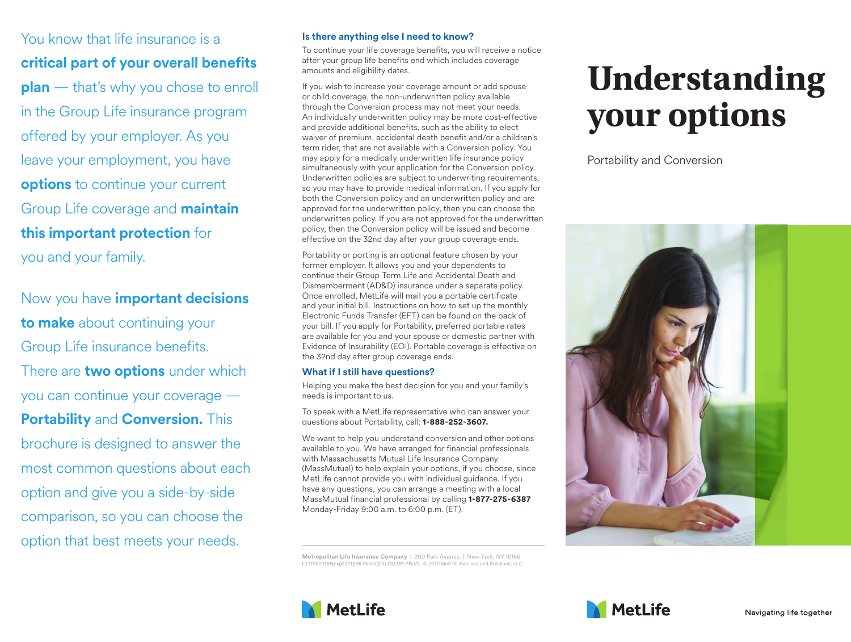You know that life insurance is a **critical part of your overall benefits plan** — that's why you chose to enroll in the Group Life insurance program offered by your employer. As you leave your employment, you have **options** to continue your current Group Life coverage and **maintain this important protection** for you and your family.

Now you have **important decisions to make** about continuing your Group Life insurance benefits. There are **two options** under which you can continue your coverage — **Portability** and **Conversion.** This brochure is designed to answer the most common questions about each option and give you a side-by-side comparison, so you can choose the option that best meets your needs.

## **Is there anything else I need to know?**

To continue your life coverage benefits, you will receive a notice after your group life benefits end which includes coverage amounts and eligibility dates.

If you wish to increase your coverage amount or add spouse or child coverage, the non-underwritten policy available through the Conversion process may not meet your needs. An individually underwritten policy may be more cost-effective and provide additional benefits, such as the ability to elect waiver of premium, accidental death benefit and/or a children's term rider, that are not available with a Conversion policy. You may apply for a medically underwritten life insurance policy simultaneously with your application for the Conversion policy. Underwritten policies are subject to underwriting requirements, so you may have to provide medical information. If you apply for both the Conversion policy and an underwritten policy and are approved for the underwritten policy, then you can choose the underwritten policy. If you are not approved for the underwritten policy, then the Conversion policy will be issued and become effective on the 32nd day after your group coverage ends.

Portability or porting is an optional feature chosen by your former employer. It allows you and your dependents to continue their Group Term Life and Accidental Death and Dismemberment (AD&D) insurance under a separate policy. Once enrolled, MetLife will mail you a portable certificate and your initial bill. Instructions on how to set up the monthly Electronic Funds Transfer (EFT) can be found on the back of your bill. If you apply for Portability, preferred portable rates are available for you and your spouse or domestic partner with Evidence of Insurability (EOI). Portable coverage is effective on the 32nd day after group coverage ends.

## **What if I still have questions?**

Helping you make the best decision for you and your family's needs is important to us.

To speak with a MetLife representative who can answer your questions about Portability, call: **1-888-252-3607.**

We want to help you understand conversion and other options available to you. We have arranged for financial professionals with Massachusetts Mutual Life Insurance Company (MassMutual) to help explain your options, if you choose, since MetLife cannot provide you with individual guidance. If you have any questions, you can arrange a meeting with a local MassMutual financial professional by calling **1-877-275-6387**  Monday-Friday 9:00 a.m. to 6:00 p.m. (ET).

**Metropolitan Life Insurance Company** | 200 Park Avenue | New York, NY 10166 L1119520165[exp0121][All States][DC,GU,MP,PR,VI] © 2019 MetLife Services and Solutions, LLC

## **Understanding your options**

Portability and Conversion